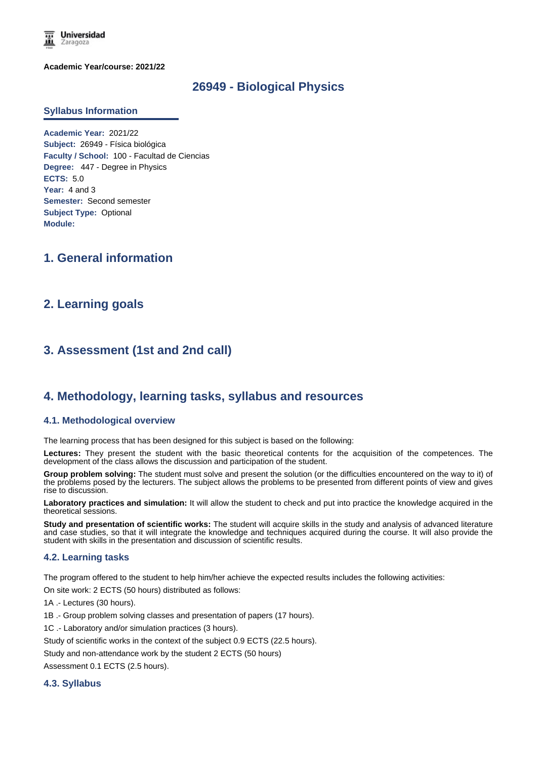

**Academic Year/course: 2021/22**

# **26949 - Biological Physics**

#### **Syllabus Information**

**Academic Year:** 2021/22 **Subject:** 26949 - Física biológica **Faculty / School:** 100 - Facultad de Ciencias **Degree:** 447 - Degree in Physics **ECTS:** 5.0 **Year:** 4 and 3 **Semester:** Second semester **Subject Type:** Optional **Module:**

# **1. General information**

# **2. Learning goals**

# **3. Assessment (1st and 2nd call)**

# **4. Methodology, learning tasks, syllabus and resources**

#### **4.1. Methodological overview**

The learning process that has been designed for this subject is based on the following:

**Lectures:** They present the student with the basic theoretical contents for the acquisition of the competences. The development of the class allows the discussion and participation of the student.

**Group problem solving:** The student must solve and present the solution (or the difficulties encountered on the way to it) of the problems posed by the lecturers. The subject allows the problems to be presented from different points of view and gives rise to discussion.

**Laboratory practices and simulation:** It will allow the student to check and put into practice the knowledge acquired in the theoretical sessions.

**Study and presentation of scientific works:** The student will acquire skills in the study and analysis of advanced literature and case studies, so that it will integrate the knowledge and techniques acquired during the course. It will also provide the student with skills in the presentation and discussion of scientific results.

#### **4.2. Learning tasks**

The program offered to the student to help him/her achieve the expected results includes the following activities:

On site work: 2 ECTS (50 hours) distributed as follows:

1A .- Lectures (30 hours).

- 1B .- Group problem solving classes and presentation of papers (17 hours).
- 1C .- Laboratory and/or simulation practices (3 hours).

Study of scientific works in the context of the subject 0.9 ECTS (22.5 hours).

Study and non-attendance work by the student 2 ECTS (50 hours)

Assessment 0.1 ECTS (2.5 hours).

#### **4.3. Syllabus**